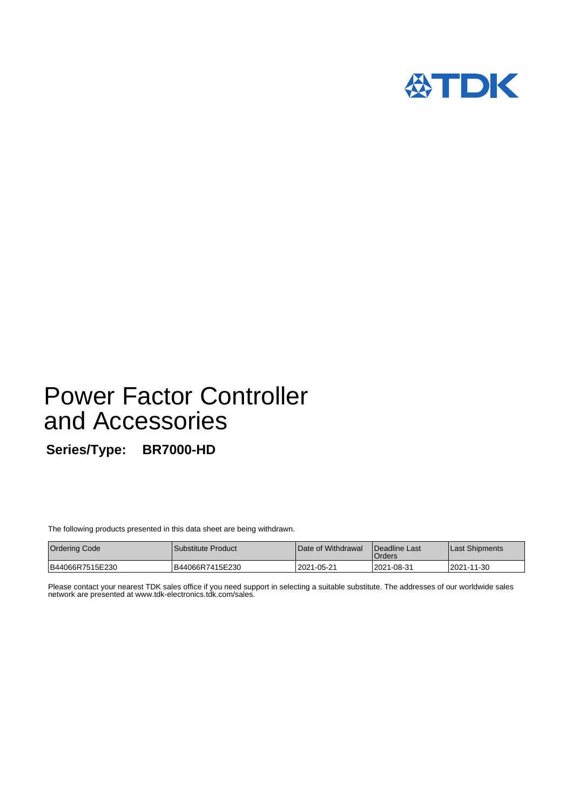

# Power Factor Controller and Accessories

**Series/Type: BR7000-HD**

The following products presented in this data sheet are being withdrawn.

| <b>Ordering Code</b> | l Substitute Product | Date of Withdrawal | <b>IDeadline Last</b><br>Orders | Last Shipments |
|----------------------|----------------------|--------------------|---------------------------------|----------------|
| B44066R7515E230      | B44066R7415E230      | 2021-05-21         | 2021-08-31                      | 2021-11-30     |

Please contact your nearest TDK sales office if you need support in selecting a suitable substitute. The addresses of our worldwide sales network are presented at www.tdk-electronics.tdk.com/sales.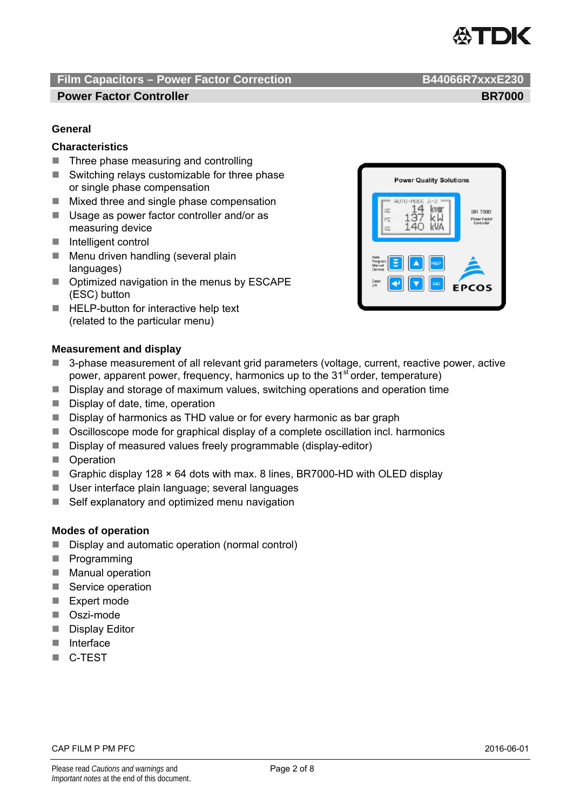

#### **Power Factor Controller BR7000 BR7000**

#### **General**

#### **Characteristics**

- $\blacksquare$  Three phase measuring and controlling
- $\blacksquare$  Switching relays customizable for three phase or single phase compensation
- $\blacksquare$  Mixed three and single phase compensation
- Usage as power factor controller and/or as measuring device
- Intelligent control
- $\blacksquare$  Menu driven handling (several plain languages)
- Optimized navigation in the menus by ESCAPE (ESC) button
- HELP-button for interactive help text (related to the particular menu)



#### **Measurement and display**

- 3-phase measurement of all relevant grid parameters (voltage, current, reactive power, active power, apparent power, frequency, harmonics up to the 31<sup>st</sup> order, temperature)
- Display and storage of maximum values, switching operations and operation time
- Display of date, time, operation
- Display of harmonics as THD value or for every harmonic as bar graph
- Oscilloscope mode for graphical display of a complete oscillation incl. harmonics
- Display of measured values freely programmable (display-editor)
- **D** Operation
- Graphic display 128 × 64 dots with max. 8 lines, BR7000-HD with OLED display
- User interface plain language; several languages
- $\blacksquare$  Self explanatory and optimized menu navigation

#### **Modes of operation**

- Display and automatic operation (normal control)
- **Programming**
- **Manual operation**
- Service operation
- Expert mode
- Oszi-mode
- **Display Editor**
- **Interface**
- C-TEST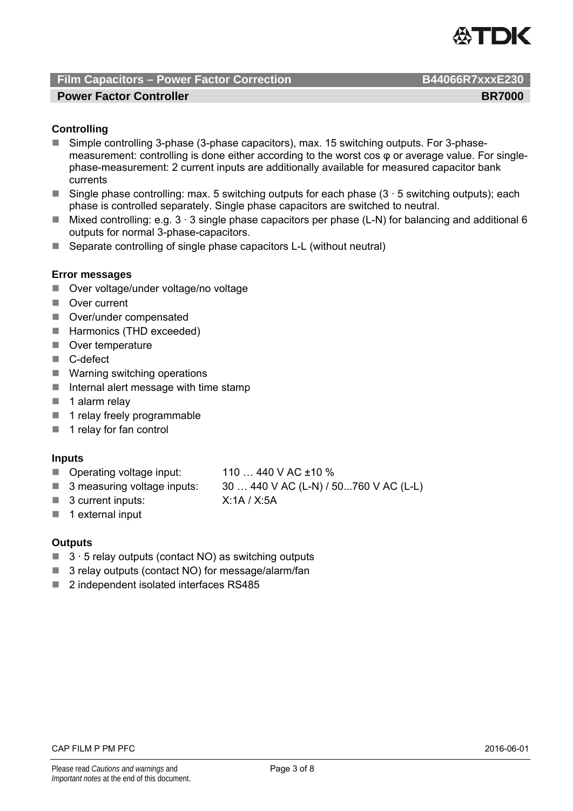

#### **Power Factor Controller BR7000 BR7000**

### **Controlling**

- Simple controlling 3-phase (3-phase capacitors), max, 15 switching outputs. For 3-phasemeasurement: controlling is done either according to the worst cos φ or average value. For singlephase-measurement: 2 current inputs are additionally available for measured capacitor bank currents
- Single phase controlling: max. 5 switching outputs for each phase  $(3 \cdot 5$  switching outputs); each phase is controlled separately. Single phase capacitors are switched to neutral.
- Mixed controlling: e.g.  $3 \cdot 3$  single phase capacitors per phase (L-N) for balancing and additional 6 outputs for normal 3-phase-capacitors.
- Separate controlling of single phase capacitors L-L (without neutral)

#### **Error messages**

- Over voltage/under voltage/no voltage
- **Over current**
- Over/under compensated
- Harmonics (THD exceeded)
- Over temperature
- C-defect
- Warning switching operations
- $\blacksquare$  Internal alert message with time stamp
- $\blacksquare$  1 alarm relav
- 1 relay freely programmable
- $\blacksquare$  1 relay for fan control

#### **Inputs**

- Operating voltage input: 110 ... 440 V AC ±10 %
- 3 measuring voltage inputs:  $30...440$  V AC (L-N) / 50...760 V AC (L-L)
- 3 current inputs: X:1A / X:5A
- $\blacksquare$  1 external input

#### **Outputs**

- $\blacksquare$  3  $\cdot$  5 relay outputs (contact NO) as switching outputs
- 3 relay outputs (contact NO) for message/alarm/fan
- 2 independent isolated interfaces RS485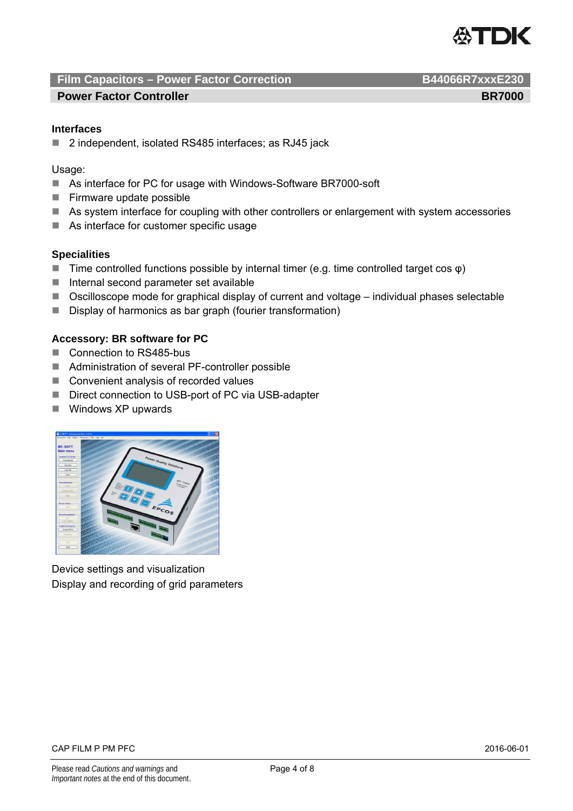

#### **Power Factor Controller BR7000 BR7000**

#### **Interfaces**

■ 2 independent, isolated RS485 interfaces; as RJ45 jack

#### Usage:

- As interface for PC for usage with Windows-Software BR7000-soft
- $\blacksquare$  Firmware update possible
- As system interface for coupling with other controllers or enlargement with system accessories
- As interface for customer specific usage

#### **Specialities**

- $■$  Time controlled functions possible by internal timer (e.g. time controlled target cos  $\varphi$ )
- $\blacksquare$  Internal second parameter set available
- Oscilloscope mode for graphical display of current and voltage individual phases selectable
- Display of harmonics as bar graph (fourier transformation)

#### **Accessory: BR software for PC**

- Connection to RS485-bus
- Administration of several PF-controller possible
- Convenient analysis of recorded values
- Direct connection to USB-port of PC via USB-adapter
- **Windows XP upwards**



Device settings and visualization Display and recording of grid parameters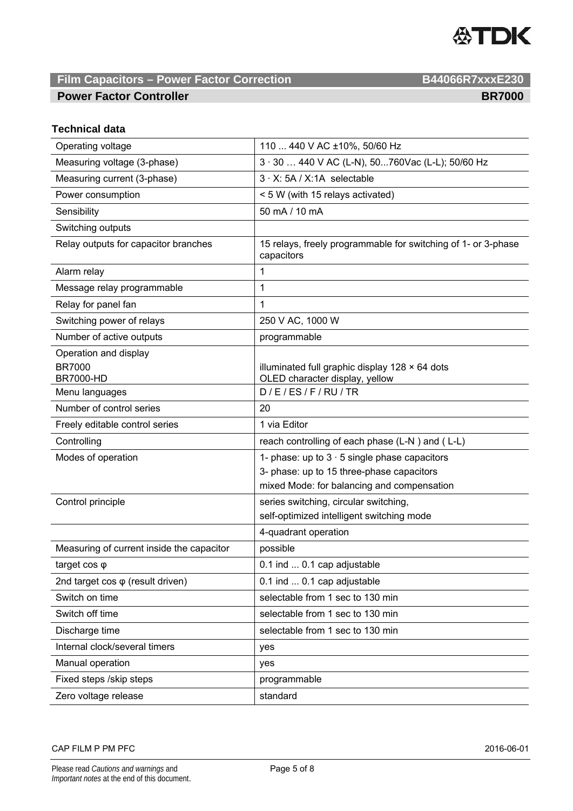

### **Power Factor Controller BR7000 BR7000**

# **Technical data**

| Operating voltage                               | 110  440 V AC ±10%, 50/60 Hz                                                |  |  |
|-------------------------------------------------|-----------------------------------------------------------------------------|--|--|
| Measuring voltage (3-phase)                     | 3 · 30  440 V AC (L-N), 50760Vac (L-L); 50/60 Hz                            |  |  |
| Measuring current (3-phase)                     | 3 · X: 5A / X:1A selectable                                                 |  |  |
| Power consumption                               | < 5 W (with 15 relays activated)                                            |  |  |
| Sensibility                                     | 50 mA / 10 mA                                                               |  |  |
| Switching outputs                               |                                                                             |  |  |
| Relay outputs for capacitor branches            | 15 relays, freely programmable for switching of 1- or 3-phase<br>capacitors |  |  |
| Alarm relay                                     | 1                                                                           |  |  |
| Message relay programmable                      | 1                                                                           |  |  |
| Relay for panel fan                             | 1                                                                           |  |  |
| Switching power of relays                       | 250 V AC, 1000 W                                                            |  |  |
| Number of active outputs                        | programmable                                                                |  |  |
| Operation and display<br><b>BR7000</b>          | illuminated full graphic display $128 \times 64$ dots                       |  |  |
| <b>BR7000-HD</b>                                | OLED character display, yellow                                              |  |  |
| Menu languages                                  | D/E/ES/F/RU/TR                                                              |  |  |
| Number of control series                        | 20                                                                          |  |  |
| Freely editable control series                  | 1 via Editor                                                                |  |  |
|                                                 |                                                                             |  |  |
| Controlling                                     | reach controlling of each phase (L-N) and (L-L)                             |  |  |
| Modes of operation                              | 1- phase: up to $3 \cdot 5$ single phase capacitors                         |  |  |
|                                                 | 3- phase: up to 15 three-phase capacitors                                   |  |  |
|                                                 | mixed Mode: for balancing and compensation                                  |  |  |
| Control principle                               | series switching, circular switching,                                       |  |  |
|                                                 | self-optimized intelligent switching mode                                   |  |  |
|                                                 | 4-quadrant operation                                                        |  |  |
| Measuring of current inside the capacitor       | possible                                                                    |  |  |
| target $cos \varphi$                            | 0.1 ind  0.1 cap adjustable                                                 |  |  |
| 2nd target $cos \varphi$ (result driven)        | 0.1 ind  0.1 cap adjustable                                                 |  |  |
| Switch on time                                  | selectable from 1 sec to 130 min                                            |  |  |
| Switch off time                                 | selectable from 1 sec to 130 min                                            |  |  |
| Discharge time                                  | selectable from 1 sec to 130 min                                            |  |  |
| Internal clock/several timers                   | yes                                                                         |  |  |
| Manual operation                                | yes                                                                         |  |  |
| Fixed steps /skip steps<br>Zero voltage release | programmable<br>standard                                                    |  |  |

CAP FILM P PM PFC 2016-06-01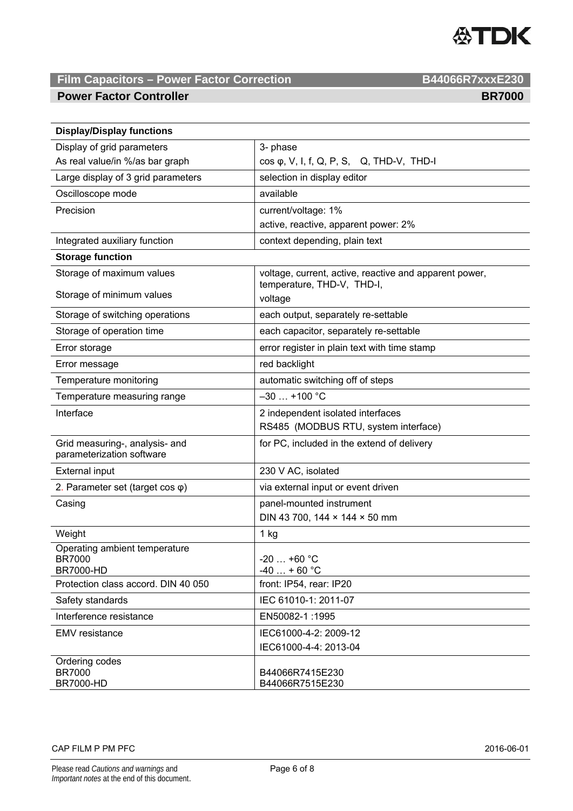

#### **Power Factor Controller BR7000 BR7000**

| <b>Display/Display functions</b>                                   |                                                                                      |  |
|--------------------------------------------------------------------|--------------------------------------------------------------------------------------|--|
| Display of grid parameters                                         | 3- phase                                                                             |  |
| As real value/in %/as bar graph                                    | $cos \varphi$ , V, I, f, Q, P, S, Q, THD-V, THD-I                                    |  |
| Large display of 3 grid parameters                                 | selection in display editor                                                          |  |
| Oscilloscope mode                                                  | available                                                                            |  |
| Precision                                                          | current/voltage: 1%                                                                  |  |
|                                                                    | active, reactive, apparent power: 2%                                                 |  |
| Integrated auxiliary function                                      | context depending, plain text                                                        |  |
| <b>Storage function</b>                                            |                                                                                      |  |
| Storage of maximum values                                          | voltage, current, active, reactive and apparent power,<br>temperature, THD-V, THD-I, |  |
| Storage of minimum values                                          | voltage                                                                              |  |
| Storage of switching operations                                    | each output, separately re-settable                                                  |  |
| Storage of operation time                                          | each capacitor, separately re-settable                                               |  |
| Error storage                                                      | error register in plain text with time stamp                                         |  |
| Error message                                                      | red backlight                                                                        |  |
| Temperature monitoring                                             | automatic switching off of steps                                                     |  |
| Temperature measuring range                                        | $-30$ +100 °C                                                                        |  |
| Interface                                                          | 2 independent isolated interfaces                                                    |  |
|                                                                    | RS485 (MODBUS RTU, system interface)                                                 |  |
| Grid measuring-, analysis- and<br>parameterization software        | for PC, included in the extend of delivery                                           |  |
| <b>External input</b>                                              | 230 V AC, isolated                                                                   |  |
| 2. Parameter set (target cos $\varphi$ )                           | via external input or event driven                                                   |  |
| Casing                                                             | panel-mounted instrument                                                             |  |
|                                                                    | DIN 43 700, 144 × 144 × 50 mm                                                        |  |
| Weight                                                             | 1 kg                                                                                 |  |
| Operating ambient temperature<br><b>BR7000</b><br><b>BR7000-HD</b> | -20  +60 °C<br>$-40 + 60$ °C                                                         |  |
| Protection class accord. DIN 40 050                                | front: IP54, rear: IP20                                                              |  |
| Safety standards                                                   | IEC 61010-1: 2011-07                                                                 |  |
| Interference resistance                                            | EN50082-1:1995                                                                       |  |
| <b>EMV</b> resistance                                              | IEC61000-4-2: 2009-12                                                                |  |
|                                                                    | IEC61000-4-4: 2013-04                                                                |  |
| Ordering codes<br><b>BR7000</b><br><b>BR7000-HD</b>                | B44066R7415E230<br>B44066R7515E230                                                   |  |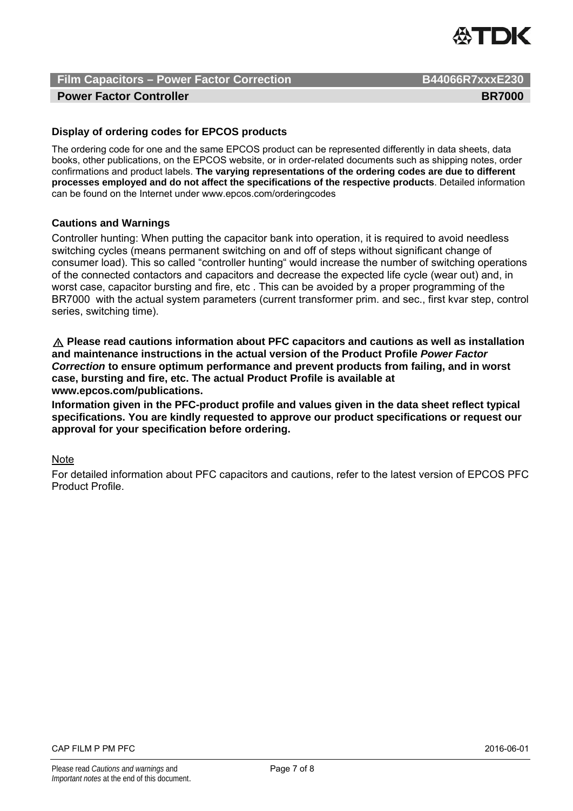

#### **Power Factor Controller BR7000 BR7000**

#### **Display of ordering codes for EPCOS products**

The ordering code for one and the same EPCOS product can be represented differently in data sheets, data books, other publications, on the EPCOS website, or in order-related documents such as shipping notes, order confirmations and product labels. **The varying representations of the ordering codes are due to different processes employed and do not affect the specifications of the respective products**. Detailed information can be found on the Internet under www.epcos.com/orderingcodes

#### **Cautions and Warnings**

Controller hunting: When putting the capacitor bank into operation, it is required to avoid needless switching cycles (means permanent switching on and off of steps without significant change of consumer load). This so called "controller hunting" would increase the number of switching operations of the connected contactors and capacitors and decrease the expected life cycle (wear out) and, in worst case, capacitor bursting and fire, etc . This can be avoided by a proper programming of the BR7000 with the actual system parameters (current transformer prim. and sec., first kvar step, control series, switching time).

U **Please read cautions information about PFC capacitors and cautions as well as installation and maintenance instructions in the actual version of the Product Profile** *Power Factor Correction* **to ensure optimum performance and prevent products from failing, and in worst case, bursting and fire, etc. The actual Product Profile is available at www.epcos.com/publications.**

**Information given in the PFC-product profile and values given in the data sheet reflect typical specifications. You are kindly requested to approve our product specifications or request our approval for your specification before ordering.**

**Note** 

For detailed information about PFC capacitors and cautions, refer to the latest version of EPCOS PFC Product Profile.